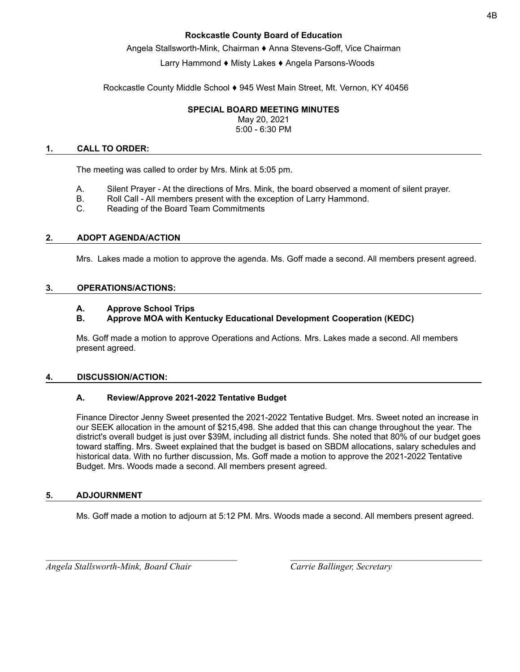### **Rockcastle County Board of Education**

Angela Stallsworth-Mink, Chairman ♦ Anna Stevens-Goff, Vice Chairman

# Larry Hammond ♦ Misty Lakes ♦ Angela Parsons-Woods

Rockcastle County Middle School  $\blacklozenge$  945 West Main Street, Mt. Vernon, KY 40456

### **SPECIAL BOARD MEETING MINUTES**

May 20, 2021 5:00 - 6:30 PM

#### **1. CALL TO ORDER:**

The meeting was called to order by Mrs. Mink at 5:05 pm.

- A. Silent Prayer At the directions of Mrs. Mink, the board observed a moment of silent prayer.
- B. Roll Call All members present with the exception of Larry Hammond.
- C. Reading of the Board Team Commitments

# **2. ADOPT AGENDA/ACTION**

Mrs. Lakes made a motion to approve the agenda. Ms. Goff made a second. All members present agreed.

#### **3. OPERATIONS/ACTIONS:**

# **A. Approve School Trips**

# **B. Approve MOA with Kentucky Educational Development Cooperation (KEDC)**

Ms. Goff made a motion to approve Operations and Actions. Mrs. Lakes made a second. All members present agreed.

#### **4. DISCUSSION/ACTION:**

# **A. Review/Approve 2021-2022 Tentative Budget**

Finance Director Jenny Sweet presented the 2021-2022 Tentative Budget. Mrs. Sweet noted an increase in our SEEK allocation in the amount of \$215,498. She added that this can change throughout the year. The district's overall budget is just over \$39M, including all district funds. She noted that 80% of our budget goes toward staffing. Mrs. Sweet explained that the budget is based on SBDM allocations, salary schedules and historical data. With no further discussion, Ms. Goff made a motion to approve the 2021-2022 Tentative Budget. Mrs. Woods made a second. All members present agreed.

#### **5. ADJOURNMENT**

Ms. Goff made a motion to adjourn at 5:12 PM. Mrs. Woods made a second. All members present agreed.

*\_\_\_\_\_\_\_\_\_\_\_\_\_\_\_\_\_\_\_\_\_\_\_\_\_\_\_\_\_\_\_\_\_\_\_\_\_\_\_\_\_ \_\_\_\_\_\_\_\_\_\_\_\_\_\_\_\_\_\_\_\_\_\_\_\_\_\_\_\_\_\_\_\_\_\_\_\_\_\_\_\_\_*

*Angela Stallsworth-Mink, Board Chair Carrie Ballinger, Secretary*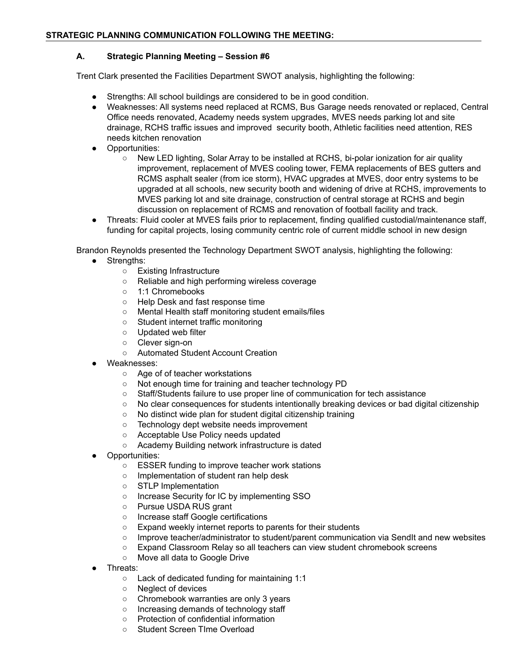# **STRATEGIC PLANNING COMMUNICATION FOLLOWING THE MEETING:**

#### **A. Strategic Planning Meeting – Session #6**

Trent Clark presented the Facilities Department SWOT analysis, highlighting the following:

- Strengths: All school buildings are considered to be in good condition.
- Weaknesses: All systems need replaced at RCMS, Bus Garage needs renovated or replaced, Central Office needs renovated, Academy needs system upgrades, MVES needs parking lot and site drainage, RCHS traffic issues and improved security booth, Athletic facilities need attention, RES needs kitchen renovation
- Opportunities:
	- New LED lighting, Solar Array to be installed at RCHS, bi-polar ionization for air quality improvement, replacement of MVES cooling tower, FEMA replacements of BES gutters and RCMS asphalt sealer (from ice storm), HVAC upgrades at MVES, door entry systems to be upgraded at all schools, new security booth and widening of drive at RCHS, improvements to MVES parking lot and site drainage, construction of central storage at RCHS and begin discussion on replacement of RCMS and renovation of football facility and track.
- Threats: Fluid cooler at MVES fails prior to replacement, finding qualified custodial/maintenance staff, funding for capital projects, losing community centric role of current middle school in new design

Brandon Reynolds presented the Technology Department SWOT analysis, highlighting the following:

- Strengths:
	- Existing Infrastructure
	- Reliable and high performing wireless coverage
	- 1:1 Chromebooks
	- Help Desk and fast response time
	- Mental Health staff monitoring student emails/files
	- Student internet traffic monitoring
	- Updated web filter
	- Clever sign-on
	- Automated Student Account Creation
- Weaknesses:
	- Age of of teacher workstations
	- Not enough time for training and teacher technology PD
	- Staff/Students failure to use proper line of communication for tech assistance
	- No clear consequences for students intentionally breaking devices or bad digital citizenship
	- No distinct wide plan for student digital citizenship training
	- Technology dept website needs improvement
	- Acceptable Use Policy needs updated
	- Academy Building network infrastructure is dated
- Opportunities:
	- ESSER funding to improve teacher work stations
	- Implementation of student ran help desk
	- STLP Implementation
	- Increase Security for IC by implementing SSO
	- Pursue USDA RUS grant
	- Increase staff Google certifications
	- Expand weekly internet reports to parents for their students
	- Improve teacher/administrator to student/parent communication via SendIt and new websites
	- Expand Classroom Relay so all teachers can view student chromebook screens
	- Move all data to Google Drive
- Threats:
	- Lack of dedicated funding for maintaining 1:1
	- Neglect of devices
	- Chromebook warranties are only 3 years
	- o Increasing demands of technology staff
	- Protection of confidential information
	- Student Screen TIme Overload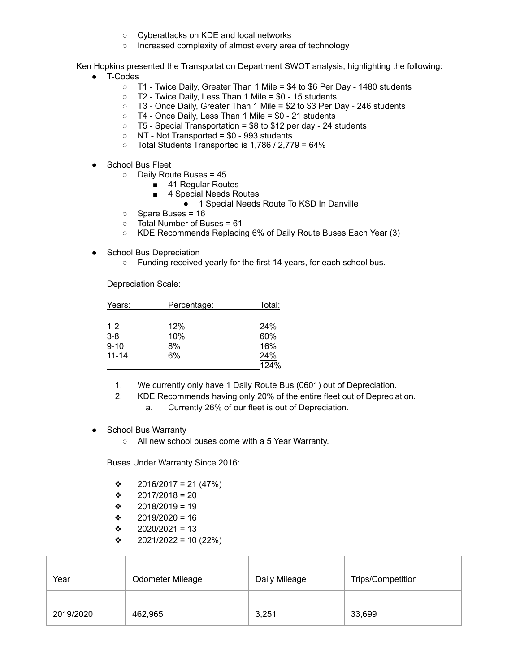- Cyberattacks on KDE and local networks
- Increased complexity of almost every area of technology

Ken Hopkins presented the Transportation Department SWOT analysis, highlighting the following:

- T-Codes
	- T1 Twice Daily, Greater Than 1 Mile = \$4 to \$6 Per Day 1480 students
	- T2 Twice Daily, Less Than 1 Mile = \$0 15 students
	- T3 Once Daily, Greater Than 1 Mile = \$2 to \$3 Per Day 246 students
	- T4 Once Daily, Less Than 1 Mile = \$0 21 students
	- $\circ$  T5 Special Transportation = \$8 to \$12 per day 24 students
	- $\circ$  NT Not Transported = \$0 993 students
	- $\circ$  Total Students Transported is 1,786 / 2,779 = 64%
- School Bus Fleet
	- Daily Route Buses = 45
		- 41 Regular Routes
		- 4 Special Needs Routes
			- 1 Special Needs Route To KSD In Danville
	- Spare Buses = 16
	- Total Number of Buses = 61
	- KDE Recommends Replacing 6% of Daily Route Buses Each Year (3)
- School Bus Depreciation
	- Funding received yearly for the first 14 years, for each school bus.

Depreciation Scale:

| Years:    | Percentage: | Total: |  |
|-----------|-------------|--------|--|
|           |             |        |  |
| $1 - 2$   | 12%         | 24%    |  |
| $3 - 8$   | 10%         | 60%    |  |
| $9 - 10$  | 8%          | 16%    |  |
| $11 - 14$ | 6%          | 24%    |  |
|           |             | 124%   |  |

- 1. We currently only have 1 Daily Route Bus (0601) out of Depreciation.
- 2. KDE Recommends having only 20% of the entire fleet out of Depreciation.
	- a. Currently 26% of our fleet is out of Depreciation.
- **School Bus Warranty** 
	- All new school buses come with a 5 Year Warranty.

Buses Under Warranty Since 2016:

- $\div$  2016/2017 = 21 (47%)
- $\div$  2017/2018 = 20
- $\div$  2018/2019 = 19
- $\div$  2019/2020 = 16
- $\div$  2020/2021 = 13
- $\div$  2021/2022 = 10 (22%)

| Year      | Odometer Mileage | Daily Mileage | Trips/Competition |
|-----------|------------------|---------------|-------------------|
| 2019/2020 | 462,965          | 3,251         | 33,699            |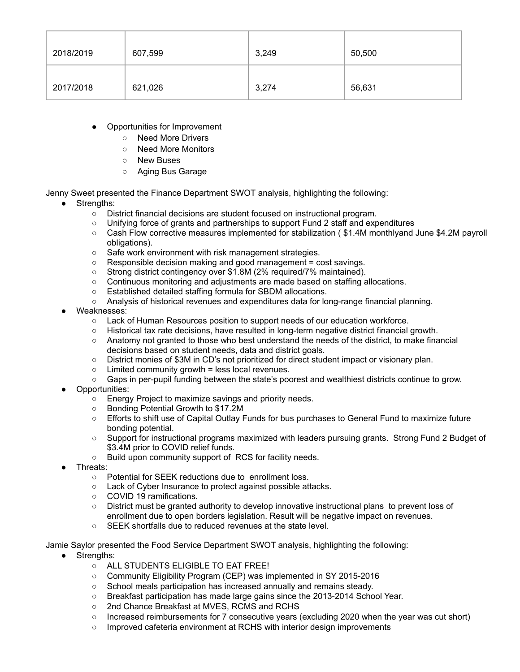| 2018/2019 | 607,599 | 3,249 | 50,500 |
|-----------|---------|-------|--------|
| 2017/2018 | 621,026 | 3,274 | 56,631 |

- **Opportunities for Improvement** 
	- Need More Drivers
	- Need More Monitors
	- New Buses
	- Aging Bus Garage

Jenny Sweet presented the Finance Department SWOT analysis, highlighting the following:

- Strengths:
	- District financial decisions are student focused on instructional program.
	- Unifying force of grants and partnerships to support Fund 2 staff and expenditures
	- Cash Flow corrective measures implemented for stabilization ( \$1.4M monthlyand June \$4.2M payroll obligations).
	- Safe work environment with risk management strategies.
	- Responsible decision making and good management = cost savings.
	- Strong district contingency over \$1.8M (2% required/7% maintained).
	- Continuous monitoring and adjustments are made based on staffing allocations.
	- Established detailed staffing formula for SBDM allocations.
	- Analysis of historical revenues and expenditures data for long-range financial planning.
- Weaknesses:
	- Lack of Human Resources position to support needs of our education workforce.
	- Historical tax rate decisions, have resulted in long-term negative district financial growth.
	- Anatomy not granted to those who best understand the needs of the district, to make financial decisions based on student needs, data and district goals.
	- District monies of \$3M in CD's not prioritized for direct student impact or visionary plan.
	- $\circ$  Limited community growth = less local revenues.
	- Gaps in per-pupil funding between the state's poorest and wealthiest districts continue to grow.
- Opportunities:
	- Energy Project to maximize savings and priority needs.
	- Bonding Potential Growth to \$17.2M
	- Efforts to shift use of Capital Outlay Funds for bus purchases to General Fund to maximize future bonding potential.
	- Support for instructional programs maximized with leaders pursuing grants. Strong Fund 2 Budget of \$3.4M prior to COVID relief funds.
	- Build upon community support of RCS for facility needs.
- Threats:
	- Potential for SEEK reductions due to enrollment loss.
	- Lack of Cyber Insurance to protect against possible attacks.
	- COVID 19 ramifications.
	- District must be granted authority to develop innovative instructional plans to prevent loss of enrollment due to open borders legislation. Result will be negative impact on revenues.
	- SEEK shortfalls due to reduced revenues at the state level.

Jamie Saylor presented the Food Service Department SWOT analysis, highlighting the following:

- Strengths:
	- ALL STUDENTS ELIGIBLE TO EAT FREE!
	- Community Eligibility Program (CEP) was implemented in SY 2015-2016
	- School meals participation has increased annually and remains steady.
	- Breakfast participation has made large gains since the 2013-2014 School Year.
	- 2nd Chance Breakfast at MVES, RCMS and RCHS
	- Increased reimbursements for 7 consecutive years (excluding 2020 when the year was cut short)
	- Improved cafeteria environment at RCHS with interior design improvements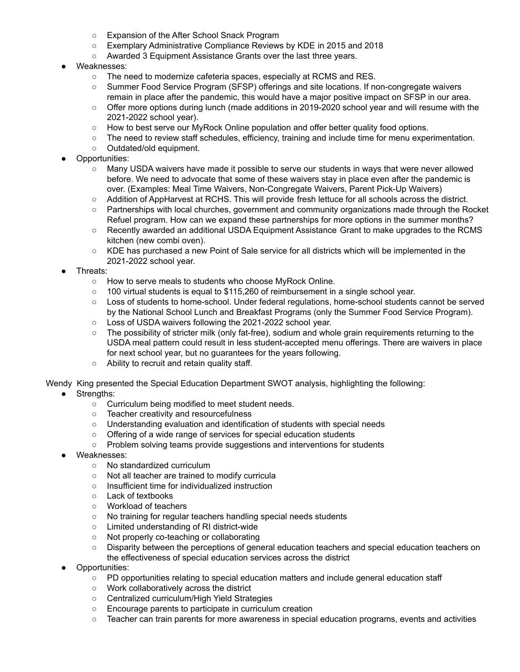- Expansion of the After School Snack Program
- Exemplary Administrative Compliance Reviews by KDE in 2015 and 2018
- Awarded 3 Equipment Assistance Grants over the last three years.
- Weaknesses:
	- The need to modernize cafeteria spaces, especially at RCMS and RES.
	- Summer Food Service Program (SFSP) offerings and site locations. If non-congregate waivers remain in place after the pandemic, this would have a major positive impact on SFSP in our area.
	- Offer more options during lunch (made additions in 2019-2020 school year and will resume with the 2021-2022 school year).
	- How to best serve our MyRock Online population and offer better quality food options.
	- The need to review staff schedules, efficiency, training and include time for menu experimentation.
	- Outdated/old equipment.
- Opportunities:
	- Many USDA waivers have made it possible to serve our students in ways that were never allowed before. We need to advocate that some of these waivers stay in place even after the pandemic is over. (Examples: Meal Time Waivers, Non-Congregate Waivers, Parent Pick-Up Waivers)
	- Addition of AppHarvest at RCHS. This will provide fresh lettuce for all schools across the district.
	- Partnerships with local churches, government and community organizations made through the Rocket Refuel program. How can we expand these partnerships for more options in the summer months?
	- Recently awarded an additional USDA Equipment Assistance Grant to make upgrades to the RCMS kitchen (new combi oven).
	- KDE has purchased a new Point of Sale service for all districts which will be implemented in the 2021-2022 school year.
- Threats:
	- How to serve meals to students who choose MyRock Online.
	- $\circ$  100 virtual students is equal to \$115,260 of reimbursement in a single school year.
	- Loss of students to home-school. Under federal regulations, home-school students cannot be served by the National School Lunch and Breakfast Programs (only the Summer Food Service Program).
	- Loss of USDA waivers following the 2021-2022 school year.
	- The possibility of stricter milk (only fat-free), sodium and whole grain requirements returning to the USDA meal pattern could result in less student-accepted menu offerings. There are waivers in place for next school year, but no guarantees for the years following.
	- Ability to recruit and retain quality staff.

Wendy King presented the Special Education Department SWOT analysis, highlighting the following:

- Strengths:
	- Curriculum being modified to meet student needs.
	- Teacher creativity and resourcefulness
	- Understanding evaluation and identification of students with special needs
	- Offering of a wide range of services for special education students
	- Problem solving teams provide suggestions and interventions for students
- Weaknesses:
	- No standardized curriculum
	- Not all teacher are trained to modify curricula
	- Insufficient time for individualized instruction
	- Lack of textbooks
	- Workload of teachers
	- No training for regular teachers handling special needs students
	- Limited understanding of RI district-wide
	- Not properly co-teaching or collaborating
	- Disparity between the perceptions of general education teachers and special education teachers on the effectiveness of special education services across the district
- Opportunities:
	- PD opportunities relating to special education matters and include general education staff
	- Work collaboratively across the district
	- Centralized curriculum/High Yield Strategies
	- Encourage parents to participate in curriculum creation
	- Teacher can train parents for more awareness in special education programs, events and activities